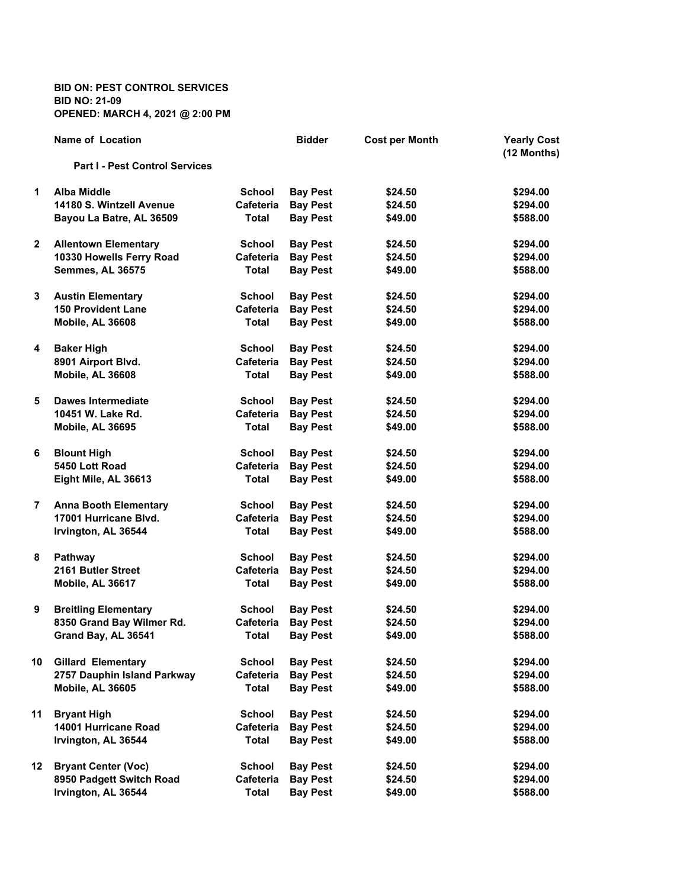**BID ON: PEST CONTROL SERVICES BID NO: 21-09 OPENED: MARCH 4, 2021 @ 2:00 PM**

|              | Name of Location                      |                  | <b>Bidder</b>   | <b>Cost per Month</b> | <b>Yearly Cost</b><br>(12 Months) |
|--------------|---------------------------------------|------------------|-----------------|-----------------------|-----------------------------------|
|              | <b>Part I - Pest Control Services</b> |                  |                 |                       |                                   |
| 1            | <b>Alba Middle</b>                    | <b>School</b>    | <b>Bay Pest</b> | \$24.50               | \$294.00                          |
|              | 14180 S. Wintzell Avenue              | <b>Cafeteria</b> | <b>Bay Pest</b> | \$24.50               | \$294.00                          |
|              | Bayou La Batre, AL 36509              | Total            | <b>Bay Pest</b> | \$49.00               | \$588.00                          |
| $\mathbf{2}$ | <b>Allentown Elementary</b>           | <b>School</b>    | <b>Bay Pest</b> | \$24.50               | \$294.00                          |
|              | 10330 Howells Ferry Road              | Cafeteria        | <b>Bay Pest</b> | \$24.50               | \$294.00                          |
|              | <b>Semmes, AL 36575</b>               | <b>Total</b>     | <b>Bay Pest</b> | \$49.00               | \$588.00                          |
| 3            | <b>Austin Elementary</b>              | <b>School</b>    | <b>Bay Pest</b> | \$24.50               | \$294.00                          |
|              | <b>150 Provident Lane</b>             | Cafeteria        | <b>Bay Pest</b> | \$24.50               | \$294.00                          |
|              | Mobile, AL 36608                      | Total            | <b>Bay Pest</b> | \$49.00               | \$588.00                          |
| 4            | <b>Baker High</b>                     | <b>School</b>    | <b>Bay Pest</b> | \$24.50               | \$294.00                          |
|              | 8901 Airport Blvd.                    | Cafeteria        | <b>Bay Pest</b> | \$24.50               | \$294.00                          |
|              | Mobile, AL 36608                      | Total            | <b>Bay Pest</b> | \$49.00               | \$588.00                          |
| 5            | Dawes Intermediate                    | <b>School</b>    | <b>Bay Pest</b> | \$24.50               | \$294.00                          |
|              | 10451 W. Lake Rd.                     | Cafeteria        | <b>Bay Pest</b> | \$24.50               | \$294.00                          |
|              | <b>Mobile, AL 36695</b>               | Total            | <b>Bay Pest</b> | \$49.00               | \$588.00                          |
| 6            | <b>Blount High</b>                    | <b>School</b>    | <b>Bay Pest</b> | \$24.50               | \$294.00                          |
|              | 5450 Lott Road                        | <b>Cafeteria</b> | <b>Bay Pest</b> | \$24.50               | \$294.00                          |
|              | Eight Mile, AL 36613                  | Total            | <b>Bay Pest</b> | \$49.00               | \$588.00                          |
| 7            | <b>Anna Booth Elementary</b>          | <b>School</b>    | <b>Bay Pest</b> | \$24.50               | \$294.00                          |
|              | 17001 Hurricane Blvd.                 | Cafeteria        | <b>Bay Pest</b> | \$24.50               | \$294.00                          |
|              | Irvington, AL 36544                   | Total            | <b>Bay Pest</b> | \$49.00               | \$588.00                          |
| 8            | <b>Pathway</b>                        | <b>School</b>    | <b>Bay Pest</b> | \$24.50               | \$294.00                          |
|              | 2161 Butler Street                    | <b>Cafeteria</b> | <b>Bay Pest</b> | \$24.50               | \$294.00                          |
|              | Mobile, AL 36617                      | Total            | <b>Bay Pest</b> | \$49.00               | \$588.00                          |
| 9            | <b>Breitling Elementary</b>           | <b>School</b>    | <b>Bay Pest</b> | \$24.50               | \$294.00                          |
|              | 8350 Grand Bay Wilmer Rd.             | Cafeteria        | <b>Bay Pest</b> | \$24.50               | \$294.00                          |
|              | Grand Bay, AL 36541                   | <b>Total</b>     | <b>Bay Pest</b> | \$49.00               | \$588.00                          |
| 10           | <b>Gillard Elementary</b>             | <b>School</b>    | <b>Bay Pest</b> | \$24.50               | \$294.00                          |
|              | 2757 Dauphin Island Parkway           | <b>Cafeteria</b> | <b>Bay Pest</b> | \$24.50               | \$294.00                          |
|              | Mobile, AL 36605                      | Total            | <b>Bay Pest</b> | \$49.00               | \$588.00                          |
| 11           | <b>Bryant High</b>                    | <b>School</b>    | <b>Bay Pest</b> | \$24.50               | \$294.00                          |
|              | 14001 Hurricane Road                  | <b>Cafeteria</b> | <b>Bay Pest</b> | \$24.50               | \$294.00                          |
|              | Irvington, AL 36544                   | Total            | <b>Bay Pest</b> | \$49.00               | \$588.00                          |
| 12           | <b>Bryant Center (Voc)</b>            | <b>School</b>    | <b>Bay Pest</b> | \$24.50               | \$294.00                          |
|              | 8950 Padgett Switch Road              | Cafeteria        | <b>Bay Pest</b> | \$24.50               | \$294.00                          |
|              | Irvington, AL 36544                   | Total            | <b>Bay Pest</b> | \$49.00               | \$588.00                          |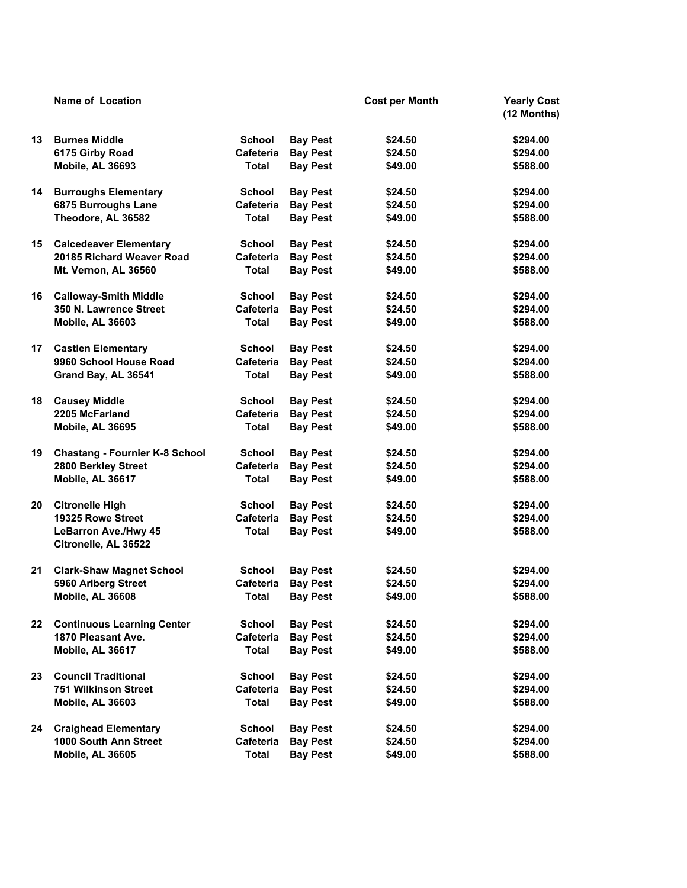|         | <b>Name of Location</b>                             |                  |                 | <b>Cost per Month</b> | <b>Yearly Cost</b><br>(12 Months) |
|---------|-----------------------------------------------------|------------------|-----------------|-----------------------|-----------------------------------|
| 13      | <b>Burnes Middle</b>                                | <b>School</b>    | <b>Bay Pest</b> | \$24.50               | \$294.00                          |
|         | 6175 Girby Road                                     | <b>Cafeteria</b> | <b>Bay Pest</b> | \$24.50               | \$294.00                          |
|         | Mobile, AL 36693                                    | <b>Total</b>     | <b>Bay Pest</b> | \$49.00               | \$588.00                          |
| 14      | <b>Burroughs Elementary</b>                         | <b>School</b>    | <b>Bay Pest</b> | \$24.50               | \$294.00                          |
|         | 6875 Burroughs Lane                                 | Cafeteria        | <b>Bay Pest</b> | \$24.50               | \$294.00                          |
|         | Theodore, AL 36582                                  | <b>Total</b>     | <b>Bay Pest</b> | \$49.00               | \$588.00                          |
| 15      | <b>Calcedeaver Elementary</b>                       | <b>School</b>    | <b>Bay Pest</b> | \$24.50               | \$294.00                          |
|         | 20185 Richard Weaver Road                           | Cafeteria        | <b>Bay Pest</b> | \$24.50               | \$294.00                          |
|         | Mt. Vernon, AL 36560                                | <b>Total</b>     | <b>Bay Pest</b> | \$49.00               | \$588.00                          |
| 16      | <b>Calloway-Smith Middle</b>                        | <b>School</b>    | <b>Bay Pest</b> | \$24.50               | \$294.00                          |
|         | 350 N. Lawrence Street                              | Cafeteria        | <b>Bay Pest</b> | \$24.50               | \$294.00                          |
|         | Mobile, AL 36603                                    | <b>Total</b>     | <b>Bay Pest</b> | \$49.00               | \$588.00                          |
| 17      | <b>Castlen Elementary</b>                           | <b>School</b>    | <b>Bay Pest</b> | \$24.50               | \$294.00                          |
|         | 9960 School House Road                              | Cafeteria        | <b>Bay Pest</b> | \$24.50               | \$294.00                          |
|         | Grand Bay, AL 36541                                 | <b>Total</b>     | <b>Bay Pest</b> | \$49.00               | \$588.00                          |
| 18      | <b>Causey Middle</b>                                | <b>School</b>    | <b>Bay Pest</b> | \$24.50               | \$294.00                          |
|         | 2205 McFarland                                      | Cafeteria        | <b>Bay Pest</b> | \$24.50               | \$294.00                          |
|         | Mobile, AL 36695                                    | <b>Total</b>     | <b>Bay Pest</b> | \$49.00               | \$588.00                          |
| 19      | <b>Chastang - Fournier K-8 School</b>               | <b>School</b>    | <b>Bay Pest</b> | \$24.50               | \$294.00                          |
|         | 2800 Berkley Street                                 | Cafeteria        | <b>Bay Pest</b> | \$24.50               | \$294.00                          |
|         | Mobile, AL 36617                                    | Total            | <b>Bay Pest</b> | \$49.00               | \$588.00                          |
| 20      | <b>Citronelle High</b>                              | <b>School</b>    | <b>Bay Pest</b> | \$24.50               | \$294.00                          |
|         | 19325 Rowe Street                                   | Cafeteria        | <b>Bay Pest</b> | \$24.50               | \$294.00                          |
|         | <b>LeBarron Ave./Hwy 45</b><br>Citronelle, AL 36522 | Total            | <b>Bay Pest</b> | \$49.00               | \$588.00                          |
| 21      | <b>Clark-Shaw Magnet School</b>                     | School           | <b>Bay Pest</b> | \$24.50               | \$294.00                          |
|         | 5960 Arlberg Street                                 | Cafeteria        | <b>Bay Pest</b> | \$24.50               | \$294.00                          |
|         | Mobile, AL 36608                                    | <b>Total</b>     | <b>Bay Pest</b> | \$49.00               | \$588.00                          |
| $22 \,$ | <b>Continuous Learning Center</b>                   | <b>School</b>    | <b>Bay Pest</b> | \$24.50               | \$294.00                          |
|         | 1870 Pleasant Ave.                                  | Cafeteria        | <b>Bay Pest</b> | \$24.50               | \$294.00                          |
|         | Mobile, AL 36617                                    | <b>Total</b>     | <b>Bay Pest</b> | \$49.00               | \$588.00                          |
| 23      | <b>Council Traditional</b>                          | <b>School</b>    | <b>Bay Pest</b> | \$24.50               | \$294.00                          |
|         | <b>751 Wilkinson Street</b>                         | Cafeteria        | <b>Bay Pest</b> | \$24.50               | \$294.00                          |
|         | <b>Mobile, AL 36603</b>                             | <b>Total</b>     | <b>Bay Pest</b> | \$49.00               | \$588.00                          |
| 24      | <b>Craighead Elementary</b>                         | <b>School</b>    | <b>Bay Pest</b> | \$24.50               | \$294.00                          |
|         | 1000 South Ann Street                               | Cafeteria        | <b>Bay Pest</b> | \$24.50               | \$294.00                          |
|         | Mobile, AL 36605                                    | <b>Total</b>     | <b>Bay Pest</b> | \$49.00               | \$588.00                          |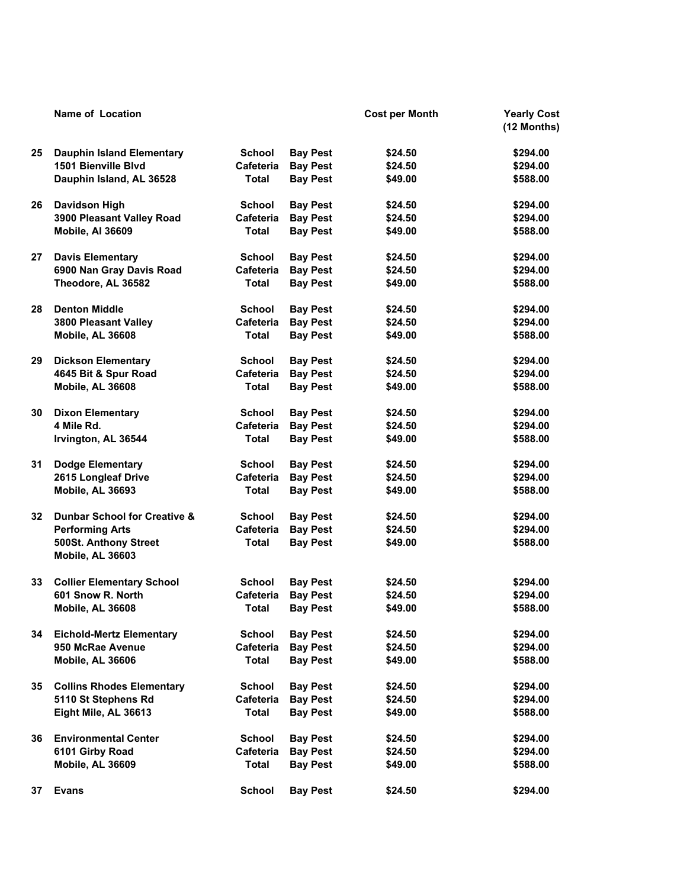|    | <b>Name of Location</b>                   |                  |                 | <b>Cost per Month</b> | <b>Yearly Cost</b><br>(12 Months) |
|----|-------------------------------------------|------------------|-----------------|-----------------------|-----------------------------------|
| 25 | Dauphin Island Elementary                 | <b>School</b>    | <b>Bay Pest</b> | \$24.50               | \$294.00                          |
|    | 1501 Bienville Blvd                       | <b>Cafeteria</b> | <b>Bay Pest</b> | \$24.50               | \$294.00                          |
|    | Dauphin Island, AL 36528                  | Total            | <b>Bay Pest</b> | \$49.00               | \$588.00                          |
| 26 | <b>Davidson High</b>                      | <b>School</b>    | <b>Bay Pest</b> | \$24.50               | \$294.00                          |
|    | 3900 Pleasant Valley Road                 | Cafeteria        | <b>Bay Pest</b> | \$24.50               | \$294.00                          |
|    | Mobile, Al 36609                          | <b>Total</b>     | <b>Bay Pest</b> | \$49.00               | \$588.00                          |
| 27 | <b>Davis Elementary</b>                   | <b>School</b>    | <b>Bay Pest</b> | \$24.50               | \$294.00                          |
|    | 6900 Nan Gray Davis Road                  | <b>Cafeteria</b> | <b>Bay Pest</b> | \$24.50               | \$294.00                          |
|    | Theodore, AL 36582                        | <b>Total</b>     | <b>Bay Pest</b> | \$49.00               | \$588.00                          |
| 28 | <b>Denton Middle</b>                      | <b>School</b>    | <b>Bay Pest</b> | \$24.50               | \$294.00                          |
|    | 3800 Pleasant Valley                      | Cafeteria        | <b>Bay Pest</b> | \$24.50               | \$294.00                          |
|    | <b>Mobile, AL 36608</b>                   | <b>Total</b>     | <b>Bay Pest</b> | \$49.00               | \$588.00                          |
| 29 | <b>Dickson Elementary</b>                 | <b>School</b>    | <b>Bay Pest</b> | \$24.50               | \$294.00                          |
|    | 4645 Bit & Spur Road                      | <b>Cafeteria</b> | <b>Bay Pest</b> | \$24.50               | \$294.00                          |
|    | <b>Mobile, AL 36608</b>                   | <b>Total</b>     | <b>Bay Pest</b> | \$49.00               | \$588.00                          |
| 30 | <b>Dixon Elementary</b>                   | <b>School</b>    | <b>Bay Pest</b> | \$24.50               | \$294.00                          |
|    | 4 Mile Rd.                                | <b>Cafeteria</b> | <b>Bay Pest</b> | \$24.50               | \$294.00                          |
|    | Irvington, AL 36544                       | Total            | <b>Bay Pest</b> | \$49.00               | \$588.00                          |
| 31 | <b>Dodge Elementary</b>                   | <b>School</b>    | <b>Bay Pest</b> | \$24.50               | \$294.00                          |
|    | 2615 Longleaf Drive                       | Cafeteria        | <b>Bay Pest</b> | \$24.50               | \$294.00                          |
|    | Mobile, AL 36693                          | Total            | <b>Bay Pest</b> | \$49.00               | \$588.00                          |
| 32 | <b>Dunbar School for Creative &amp;</b>   | <b>School</b>    | <b>Bay Pest</b> | \$24.50               | \$294.00                          |
|    | <b>Performing Arts</b>                    | Cafeteria        | <b>Bay Pest</b> | \$24.50               | \$294.00                          |
|    | 500St. Anthony Street<br>Mobile, AL 36603 | <b>Total</b>     | <b>Bay Pest</b> | \$49.00               | \$588.00                          |
| 33 | <b>Collier Elementary School</b>          | <b>School</b>    | <b>Bay Pest</b> | \$24.50               | \$294.00                          |
|    | 601 Snow R. North                         | Cafeteria        | <b>Bay Pest</b> | \$24.50               | \$294.00                          |
|    | Mobile, AL 36608                          | <b>Total</b>     | <b>Bay Pest</b> | \$49.00               | \$588.00                          |
| 34 | <b>Eichold-Mertz Elementary</b>           | <b>School</b>    | <b>Bay Pest</b> | \$24.50               | \$294.00                          |
|    | 950 McRae Avenue                          | Cafeteria        | <b>Bay Pest</b> | \$24.50               | \$294.00                          |
|    | <b>Mobile, AL 36606</b>                   | Total            | <b>Bay Pest</b> | \$49.00               | \$588.00                          |
| 35 | <b>Collins Rhodes Elementary</b>          | School           | <b>Bay Pest</b> | \$24.50               | \$294.00                          |
|    | 5110 St Stephens Rd                       | Cafeteria        | <b>Bay Pest</b> | \$24.50               | \$294.00                          |
|    | Eight Mile, AL 36613                      | <b>Total</b>     | <b>Bay Pest</b> | \$49.00               | \$588.00                          |
| 36 | <b>Environmental Center</b>               | <b>School</b>    | <b>Bay Pest</b> | \$24.50               | \$294.00                          |
|    | 6101 Girby Road                           | Cafeteria        | <b>Bay Pest</b> | \$24.50               | \$294.00                          |
|    | Mobile, AL 36609                          | <b>Total</b>     | <b>Bay Pest</b> | \$49.00               | \$588.00                          |
| 37 | <b>Evans</b>                              | <b>School</b>    | <b>Bay Pest</b> | \$24.50               | \$294.00                          |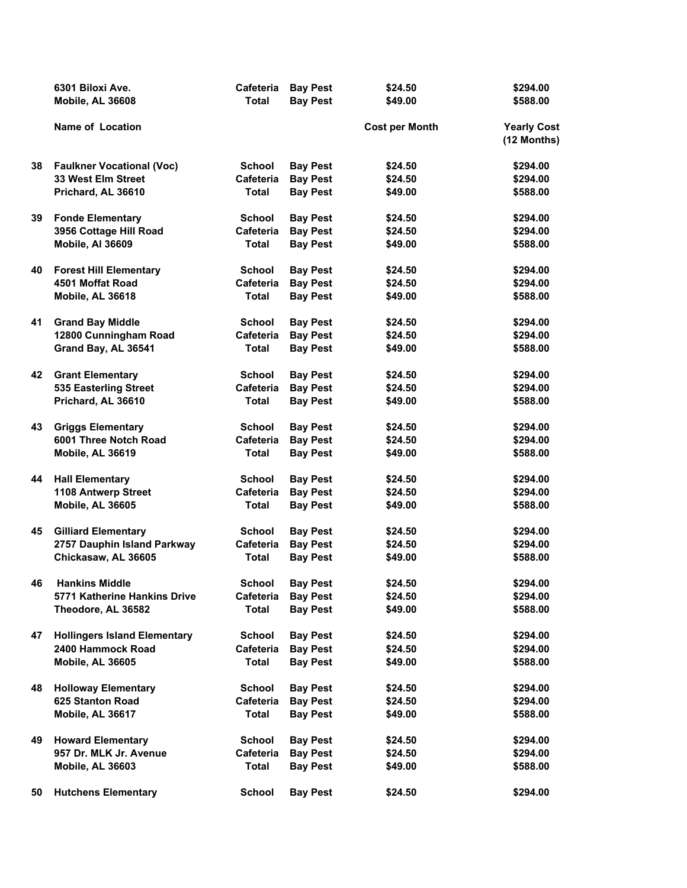|    | 6301 Biloxi Ave.                    | Cafeteria     | <b>Bay Pest</b> | \$24.50               | \$294.00                          |
|----|-------------------------------------|---------------|-----------------|-----------------------|-----------------------------------|
|    | Mobile, AL 36608                    | <b>Total</b>  | <b>Bay Pest</b> | \$49.00               | \$588.00                          |
|    | <b>Name of Location</b>             |               |                 | <b>Cost per Month</b> | <b>Yearly Cost</b><br>(12 Months) |
| 38 | <b>Faulkner Vocational (Voc)</b>    | <b>School</b> | <b>Bay Pest</b> | \$24.50               | \$294.00                          |
|    | 33 West Elm Street                  | Cafeteria     | <b>Bay Pest</b> | \$24.50               | \$294.00                          |
|    | Prichard, AL 36610                  | <b>Total</b>  | <b>Bay Pest</b> | \$49.00               | \$588.00                          |
| 39 | <b>Fonde Elementary</b>             | <b>School</b> | <b>Bay Pest</b> | \$24.50               | \$294.00                          |
|    | 3956 Cottage Hill Road              | Cafeteria     | <b>Bay Pest</b> | \$24.50               | \$294.00                          |
|    | Mobile, Al 36609                    | <b>Total</b>  | <b>Bay Pest</b> | \$49.00               | \$588.00                          |
| 40 | <b>Forest Hill Elementary</b>       | <b>School</b> | <b>Bay Pest</b> | \$24.50               | \$294.00                          |
|    | 4501 Moffat Road                    | Cafeteria     | <b>Bay Pest</b> | \$24.50               | \$294.00                          |
|    | <b>Mobile, AL 36618</b>             | <b>Total</b>  | <b>Bay Pest</b> | \$49.00               | \$588.00                          |
| 41 | <b>Grand Bay Middle</b>             | <b>School</b> | <b>Bay Pest</b> | \$24.50               | \$294.00                          |
|    | 12800 Cunningham Road               | Cafeteria     | <b>Bay Pest</b> | \$24.50               | \$294.00                          |
|    | Grand Bay, AL 36541                 | <b>Total</b>  | <b>Bay Pest</b> | \$49.00               | \$588.00                          |
| 42 | <b>Grant Elementary</b>             | <b>School</b> | <b>Bay Pest</b> | \$24.50               | \$294.00                          |
|    | 535 Easterling Street               | Cafeteria     | <b>Bay Pest</b> | \$24.50               | \$294.00                          |
|    | Prichard, AL 36610                  | <b>Total</b>  | <b>Bay Pest</b> | \$49.00               | \$588.00                          |
| 43 | <b>Griggs Elementary</b>            | <b>School</b> | <b>Bay Pest</b> | \$24.50               | \$294.00                          |
|    | 6001 Three Notch Road               | Cafeteria     | <b>Bay Pest</b> | \$24.50               | \$294.00                          |
|    | Mobile, AL 36619                    | <b>Total</b>  | <b>Bay Pest</b> | \$49.00               | \$588.00                          |
| 44 | <b>Hall Elementary</b>              | <b>School</b> | <b>Bay Pest</b> | \$24.50               | \$294.00                          |
|    | 1108 Antwerp Street                 | Cafeteria     | <b>Bay Pest</b> | \$24.50               | \$294.00                          |
|    | Mobile, AL 36605                    | <b>Total</b>  | <b>Bay Pest</b> | \$49.00               | \$588.00                          |
| 45 | <b>Gilliard Elementary</b>          | <b>School</b> | <b>Bay Pest</b> | \$24.50               | \$294.00                          |
|    | 2757 Dauphin Island Parkway         | Cafeteria     | <b>Bay Pest</b> | \$24.50               | \$294.00                          |
|    | Chickasaw, AL 36605                 | <b>Total</b>  | <b>Bay Pest</b> | \$49.00               | \$588.00                          |
| 46 | <b>Hankins Middle</b>               | <b>School</b> | <b>Bay Pest</b> | \$24.50               | \$294.00                          |
|    | 5771 Katherine Hankins Drive        | Cafeteria     | <b>Bay Pest</b> | \$24.50               | \$294.00                          |
|    | Theodore, AL 36582                  | <b>Total</b>  | <b>Bay Pest</b> | \$49.00               | \$588.00                          |
| 47 | <b>Hollingers Island Elementary</b> | <b>School</b> | <b>Bay Pest</b> | \$24.50               | \$294.00                          |
|    | 2400 Hammock Road                   | Cafeteria     | <b>Bay Pest</b> | \$24.50               | \$294.00                          |
|    | Mobile, AL 36605                    | <b>Total</b>  | <b>Bay Pest</b> | \$49.00               | \$588.00                          |
| 48 | <b>Holloway Elementary</b>          | <b>School</b> | <b>Bay Pest</b> | \$24.50               | \$294.00                          |
|    | 625 Stanton Road                    | Cafeteria     | <b>Bay Pest</b> | \$24.50               | \$294.00                          |
|    | Mobile, AL 36617                    | Total         | <b>Bay Pest</b> | \$49.00               | \$588.00                          |
| 49 | <b>Howard Elementary</b>            | <b>School</b> | <b>Bay Pest</b> | \$24.50               | \$294.00                          |
|    | 957 Dr. MLK Jr. Avenue              | Cafeteria     | <b>Bay Pest</b> | \$24.50               | \$294.00                          |
|    | Mobile, AL 36603                    | <b>Total</b>  | <b>Bay Pest</b> | \$49.00               | \$588.00                          |
| 50 | <b>Hutchens Elementary</b>          | <b>School</b> | <b>Bay Pest</b> | \$24.50               | \$294.00                          |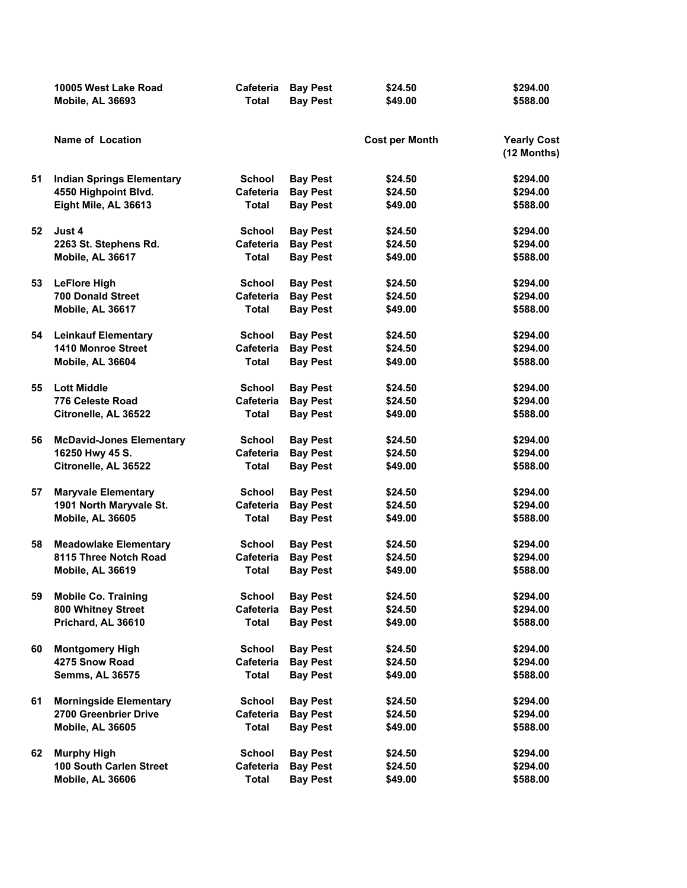|    | 10005 West Lake Road             | Cafeteria     | <b>Bay Pest</b> | \$24.50               | \$294.00                          |
|----|----------------------------------|---------------|-----------------|-----------------------|-----------------------------------|
|    | Mobile, AL 36693                 | <b>Total</b>  | <b>Bay Pest</b> | \$49.00               | \$588.00                          |
|    | Name of Location                 |               |                 | <b>Cost per Month</b> | <b>Yearly Cost</b><br>(12 Months) |
| 51 | <b>Indian Springs Elementary</b> | <b>School</b> | <b>Bay Pest</b> | \$24.50               | \$294.00                          |
|    | 4550 Highpoint Blvd.             | Cafeteria     | <b>Bay Pest</b> | \$24.50               | \$294.00                          |
|    | Eight Mile, AL 36613             | <b>Total</b>  | <b>Bay Pest</b> | \$49.00               | \$588.00                          |
| 52 | Just 4                           | <b>School</b> | <b>Bay Pest</b> | \$24.50               | \$294.00                          |
|    | 2263 St. Stephens Rd.            | Cafeteria     | <b>Bay Pest</b> | \$24.50               | \$294.00                          |
|    | Mobile, AL 36617                 | <b>Total</b>  | <b>Bay Pest</b> | \$49.00               | \$588.00                          |
| 53 | <b>LeFlore High</b>              | <b>School</b> | <b>Bay Pest</b> | \$24.50               | \$294.00                          |
|    | <b>700 Donald Street</b>         | Cafeteria     | <b>Bay Pest</b> | \$24.50               | \$294.00                          |
|    | Mobile, AL 36617                 | <b>Total</b>  | <b>Bay Pest</b> | \$49.00               | \$588.00                          |
| 54 | <b>Leinkauf Elementary</b>       | <b>School</b> | <b>Bay Pest</b> | \$24.50               | \$294.00                          |
|    | <b>1410 Monroe Street</b>        | Cafeteria     | <b>Bay Pest</b> | \$24.50               | \$294.00                          |
|    | Mobile, AL 36604                 | <b>Total</b>  | <b>Bay Pest</b> | \$49.00               | \$588.00                          |
| 55 | <b>Lott Middle</b>               | <b>School</b> | <b>Bay Pest</b> | \$24.50               | \$294.00                          |
|    | 776 Celeste Road                 | Cafeteria     | <b>Bay Pest</b> | \$24.50               | \$294.00                          |
|    | Citronelle, AL 36522             | Total         | <b>Bay Pest</b> | \$49.00               | \$588.00                          |
| 56 | <b>McDavid-Jones Elementary</b>  | <b>School</b> | <b>Bay Pest</b> | \$24.50               | \$294.00                          |
|    | 16250 Hwy 45 S.                  | Cafeteria     | <b>Bay Pest</b> | \$24.50               | \$294.00                          |
|    | Citronelle, AL 36522             | Total         | <b>Bay Pest</b> | \$49.00               | \$588.00                          |
| 57 | <b>Maryvale Elementary</b>       | <b>School</b> | <b>Bay Pest</b> | \$24.50               | \$294.00                          |
|    | 1901 North Maryvale St.          | Cafeteria     | <b>Bay Pest</b> | \$24.50               | \$294.00                          |
|    | Mobile, AL 36605                 | <b>Total</b>  | <b>Bay Pest</b> | \$49.00               | \$588.00                          |
| 58 | <b>Meadowlake Elementary</b>     | <b>School</b> | <b>Bay Pest</b> | \$24.50               | \$294.00                          |
|    | 8115 Three Notch Road            | Cafeteria     | <b>Bay Pest</b> | \$24.50               | \$294.00                          |
|    | Mobile, AL 36619                 | <b>Total</b>  | <b>Bay Pest</b> | \$49.00               | \$588.00                          |
| 59 | <b>Mobile Co. Training</b>       | <b>School</b> | <b>Bay Pest</b> | \$24.50               | \$294.00                          |
|    | 800 Whitney Street               | Cafeteria     | <b>Bay Pest</b> | \$24.50               | \$294.00                          |
|    | Prichard, AL 36610               | <b>Total</b>  | <b>Bay Pest</b> | \$49.00               | \$588.00                          |
| 60 | <b>Montgomery High</b>           | <b>School</b> | <b>Bay Pest</b> | \$24.50               | \$294.00                          |
|    | 4275 Snow Road                   | Cafeteria     | <b>Bay Pest</b> | \$24.50               | \$294.00                          |
|    | <b>Semms, AL 36575</b>           | <b>Total</b>  | <b>Bay Pest</b> | \$49.00               | \$588.00                          |
| 61 | <b>Morningside Elementary</b>    | School        | <b>Bay Pest</b> | \$24.50               | \$294.00                          |
|    | 2700 Greenbrier Drive            | Cafeteria     | <b>Bay Pest</b> | \$24.50               | \$294.00                          |
|    | <b>Mobile, AL 36605</b>          | <b>Total</b>  | <b>Bay Pest</b> | \$49.00               | \$588.00                          |
| 62 | <b>Murphy High</b>               | <b>School</b> | <b>Bay Pest</b> | \$24.50               | \$294.00                          |
|    | 100 South Carlen Street          | Cafeteria     | <b>Bay Pest</b> | \$24.50               | \$294.00                          |
|    | Mobile, AL 36606                 | <b>Total</b>  | <b>Bay Pest</b> | \$49.00               | \$588.00                          |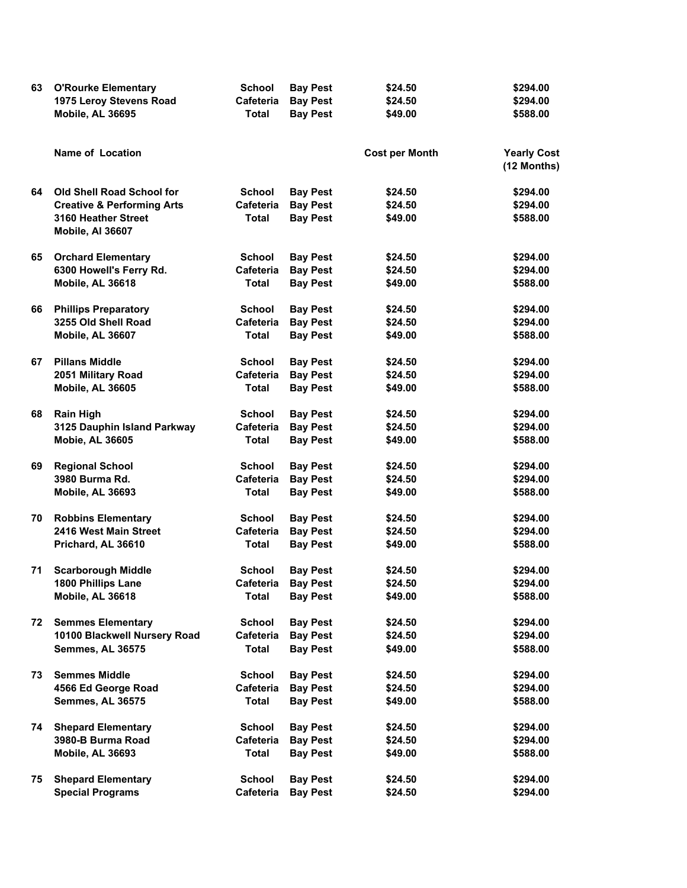| 63 | <b>O'Rourke Elementary</b><br>1975 Leroy Stevens Road | <b>School</b><br>Cafeteria | <b>Bay Pest</b><br><b>Bay Pest</b> | \$24.50<br>\$24.50    | \$294.00<br>\$294.00              |
|----|-------------------------------------------------------|----------------------------|------------------------------------|-----------------------|-----------------------------------|
|    | Mobile, AL 36695                                      | <b>Total</b>               | <b>Bay Pest</b>                    | \$49.00               | \$588.00                          |
|    | Name of Location                                      |                            |                                    | <b>Cost per Month</b> | <b>Yearly Cost</b><br>(12 Months) |
| 64 | Old Shell Road School for                             | <b>School</b>              | <b>Bay Pest</b>                    | \$24.50               | \$294.00                          |
|    | <b>Creative &amp; Performing Arts</b>                 | Cafeteria                  | <b>Bay Pest</b>                    | \$24.50               | \$294.00                          |
|    | 3160 Heather Street<br>Mobile, Al 36607               | <b>Total</b>               | <b>Bay Pest</b>                    | \$49.00               | \$588.00                          |
| 65 | <b>Orchard Elementary</b>                             | <b>School</b>              | <b>Bay Pest</b>                    | \$24.50               | \$294.00                          |
|    | 6300 Howell's Ferry Rd.                               | Cafeteria                  | <b>Bay Pest</b>                    | \$24.50               | \$294.00                          |
|    | Mobile, AL 36618                                      | <b>Total</b>               | <b>Bay Pest</b>                    | \$49.00               | \$588.00                          |
| 66 | <b>Phillips Preparatory</b>                           | <b>School</b>              | <b>Bay Pest</b>                    | \$24.50               | \$294.00                          |
|    | 3255 Old Shell Road                                   | Cafeteria                  | <b>Bay Pest</b>                    | \$24.50               | \$294.00                          |
|    | Mobile, AL 36607                                      | <b>Total</b>               | <b>Bay Pest</b>                    | \$49.00               | \$588.00                          |
| 67 | <b>Pillans Middle</b>                                 | <b>School</b>              | <b>Bay Pest</b>                    | \$24.50               | \$294.00                          |
|    | 2051 Military Road                                    | Cafeteria                  | <b>Bay Pest</b>                    | \$24.50               | \$294.00                          |
|    | Mobile, AL 36605                                      | <b>Total</b>               | <b>Bay Pest</b>                    | \$49.00               | \$588.00                          |
| 68 | <b>Rain High</b>                                      | <b>School</b>              | <b>Bay Pest</b>                    | \$24.50               | \$294.00                          |
|    | 3125 Dauphin Island Parkway                           | Cafeteria                  | <b>Bay Pest</b>                    | \$24.50               | \$294.00                          |
|    | <b>Mobie, AL 36605</b>                                | <b>Total</b>               | <b>Bay Pest</b>                    | \$49.00               | \$588.00                          |
| 69 | <b>Regional School</b>                                | <b>School</b>              | <b>Bay Pest</b>                    | \$24.50               | \$294.00                          |
|    | 3980 Burma Rd.                                        | Cafeteria                  | <b>Bay Pest</b>                    | \$24.50               | \$294.00                          |
|    | Mobile, AL 36693                                      | <b>Total</b>               | <b>Bay Pest</b>                    | \$49.00               | \$588.00                          |
| 70 | <b>Robbins Elementary</b>                             | <b>School</b>              | <b>Bay Pest</b>                    | \$24.50               | \$294.00                          |
|    | 2416 West Main Street                                 | Cafeteria                  | <b>Bay Pest</b>                    | \$24.50               | \$294.00                          |
|    | Prichard, AL 36610                                    | Total                      | <b>Bay Pest</b>                    | \$49.00               | \$588.00                          |
| 71 | <b>Scarborough Middle</b>                             | <b>School</b>              | <b>Bay Pest</b>                    | \$24.50               | \$294.00                          |
|    | 1800 Phillips Lane                                    | Cafeteria                  | Bay Pest                           | \$24.50               | \$294.00                          |
|    | Mobile, AL 36618                                      | <b>Total</b>               | <b>Bay Pest</b>                    | \$49.00               | \$588.00                          |
| 72 | <b>Semmes Elementary</b>                              | <b>School</b>              | <b>Bay Pest</b>                    | \$24.50               | \$294.00                          |
|    | 10100 Blackwell Nursery Road                          | Cafeteria                  | <b>Bay Pest</b>                    | \$24.50               | \$294.00                          |
|    | Semmes, AL 36575                                      | <b>Total</b>               | <b>Bay Pest</b>                    | \$49.00               | \$588.00                          |
| 73 | <b>Semmes Middle</b>                                  | <b>School</b>              | <b>Bay Pest</b>                    | \$24.50               | \$294.00                          |
|    | 4566 Ed George Road                                   | Cafeteria                  | <b>Bay Pest</b>                    | \$24.50               | \$294.00                          |
|    | Semmes, AL 36575                                      | Total                      | <b>Bay Pest</b>                    | \$49.00               | \$588.00                          |
| 74 | <b>Shepard Elementary</b>                             | <b>School</b>              | <b>Bay Pest</b>                    | \$24.50               | \$294.00                          |
|    | 3980-B Burma Road                                     | Cafeteria                  | <b>Bay Pest</b>                    | \$24.50               | \$294.00                          |
|    | Mobile, AL 36693                                      | <b>Total</b>               | <b>Bay Pest</b>                    | \$49.00               | \$588.00                          |
| 75 | <b>Shepard Elementary</b>                             | <b>School</b>              | <b>Bay Pest</b>                    | \$24.50               | \$294.00                          |
|    | <b>Special Programs</b>                               | Cafeteria                  | <b>Bay Pest</b>                    | \$24.50               | \$294.00                          |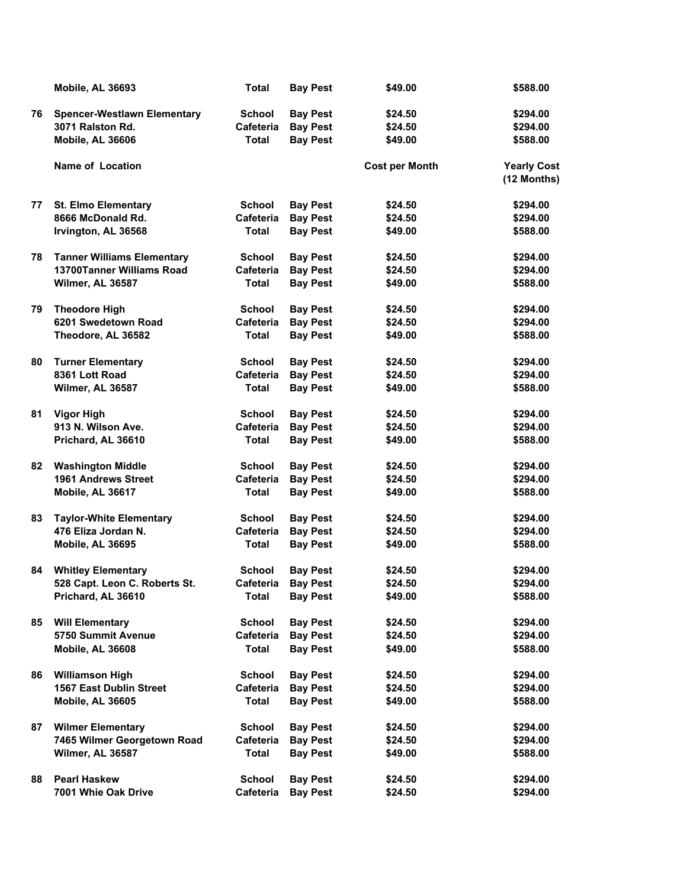|    | <b>Mobile, AL 36693</b>            | <b>Total</b>     | <b>Bay Pest</b> | \$49.00               | \$588.00                          |
|----|------------------------------------|------------------|-----------------|-----------------------|-----------------------------------|
| 76 | <b>Spencer-Westlawn Elementary</b> | <b>School</b>    | <b>Bay Pest</b> | \$24.50               | \$294.00                          |
|    | 3071 Ralston Rd.                   | Cafeteria        | <b>Bay Pest</b> | \$24.50               | \$294.00                          |
|    | Mobile, AL 36606                   | <b>Total</b>     | <b>Bay Pest</b> | \$49.00               | \$588.00                          |
|    | <b>Name of Location</b>            |                  |                 | <b>Cost per Month</b> | <b>Yearly Cost</b><br>(12 Months) |
| 77 | <b>St. Elmo Elementary</b>         | <b>School</b>    | <b>Bay Pest</b> | \$24.50               | \$294.00                          |
|    | 8666 McDonald Rd.                  | Cafeteria        | <b>Bay Pest</b> | \$24.50               | \$294.00                          |
|    | Irvington, AL 36568                | Total            | <b>Bay Pest</b> | \$49.00               | \$588.00                          |
| 78 | <b>Tanner Williams Elementary</b>  | <b>School</b>    | <b>Bay Pest</b> | \$24.50               | \$294.00                          |
|    | 13700Tanner Williams Road          | Cafeteria        | <b>Bay Pest</b> | \$24.50               | \$294.00                          |
|    | Wilmer, AL 36587                   | <b>Total</b>     | <b>Bay Pest</b> | \$49.00               | \$588.00                          |
| 79 | <b>Theodore High</b>               | <b>School</b>    | <b>Bay Pest</b> | \$24.50               | \$294.00                          |
|    | 6201 Swedetown Road                | Cafeteria        | <b>Bay Pest</b> | \$24.50               | \$294.00                          |
|    | Theodore, AL 36582                 | <b>Total</b>     | <b>Bay Pest</b> | \$49.00               | \$588.00                          |
| 80 | <b>Turner Elementary</b>           | <b>School</b>    | <b>Bay Pest</b> | \$24.50               | \$294.00                          |
|    | 8361 Lott Road                     | <b>Cafeteria</b> | <b>Bay Pest</b> | \$24.50               | \$294.00                          |
|    | Wilmer, AL 36587                   | <b>Total</b>     | <b>Bay Pest</b> | \$49.00               | \$588.00                          |
| 81 | <b>Vigor High</b>                  | <b>School</b>    | <b>Bay Pest</b> | \$24.50               | \$294.00                          |
|    | 913 N. Wilson Ave.                 | Cafeteria        | <b>Bay Pest</b> | \$24.50               | \$294.00                          |
|    | Prichard, AL 36610                 | Total            | <b>Bay Pest</b> | \$49.00               | \$588.00                          |
| 82 | <b>Washington Middle</b>           | School           | <b>Bay Pest</b> | \$24.50               | \$294.00                          |
|    | <b>1961 Andrews Street</b>         | <b>Cafeteria</b> | <b>Bay Pest</b> | \$24.50               | \$294.00                          |
|    | Mobile, AL 36617                   | <b>Total</b>     | <b>Bay Pest</b> | \$49.00               | \$588.00                          |
| 83 | <b>Taylor-White Elementary</b>     | <b>School</b>    | <b>Bay Pest</b> | \$24.50               | \$294.00                          |
|    | 476 Eliza Jordan N.                | Cafeteria        | <b>Bay Pest</b> | \$24.50               | \$294.00                          |
|    | Mobile, AL 36695                   | <b>Total</b>     | <b>Bay Pest</b> | \$49.00               | \$588.00                          |
| 84 | <b>Whitley Elementary</b>          | <b>School</b>    | <b>Bay Pest</b> | \$24.50               | \$294.00                          |
|    | 528 Capt. Leon C. Roberts St.      | Cafeteria        | <b>Bay Pest</b> | \$24.50               | \$294.00                          |
|    | Prichard, AL 36610                 | <b>Total</b>     | <b>Bay Pest</b> | \$49.00               | \$588.00                          |
| 85 | <b>Will Elementary</b>             | <b>School</b>    | <b>Bay Pest</b> | \$24.50               | \$294.00                          |
|    | 5750 Summit Avenue                 | Cafeteria        | <b>Bay Pest</b> | \$24.50               | \$294.00                          |
|    | Mobile, AL 36608                   | Total            | <b>Bay Pest</b> | \$49.00               | \$588.00                          |
| 86 | <b>Williamson High</b>             | <b>School</b>    | <b>Bay Pest</b> | \$24.50               | \$294.00                          |
|    | <b>1567 East Dublin Street</b>     | Cafeteria        | <b>Bay Pest</b> | \$24.50               | \$294.00                          |
|    | Mobile, AL 36605                   | Total            | <b>Bay Pest</b> | \$49.00               | \$588.00                          |
| 87 | <b>Wilmer Elementary</b>           | School           | <b>Bay Pest</b> | \$24.50               | \$294.00                          |
|    | 7465 Wilmer Georgetown Road        | Cafeteria        | <b>Bay Pest</b> | \$24.50               | \$294.00                          |
|    | Wilmer, AL 36587                   | Total            | <b>Bay Pest</b> | \$49.00               | \$588.00                          |
| 88 | <b>Pearl Haskew</b>                | School           | <b>Bay Pest</b> | \$24.50               | \$294.00                          |
|    | 7001 Whie Oak Drive                | Cafeteria        | <b>Bay Pest</b> | \$24.50               | \$294.00                          |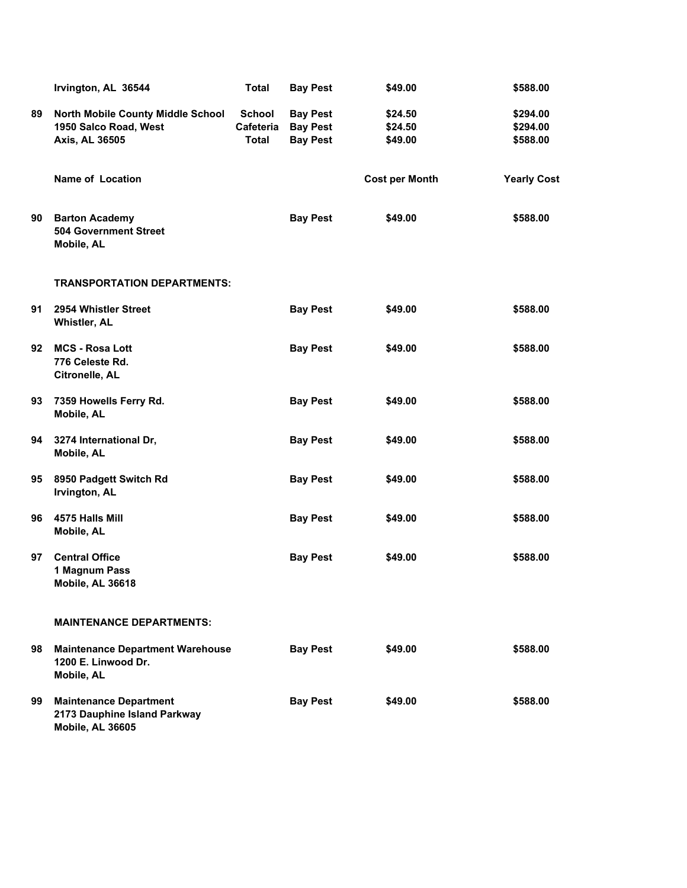|    | Irvington, AL 36544                                                               | <b>Total</b>                               | <b>Bay Pest</b>                                       | \$49.00                       | \$588.00                         |
|----|-----------------------------------------------------------------------------------|--------------------------------------------|-------------------------------------------------------|-------------------------------|----------------------------------|
| 89 | North Mobile County Middle School<br>1950 Salco Road, West<br>Axis, AL 36505      | <b>School</b><br>Cafeteria<br><b>Total</b> | <b>Bay Pest</b><br><b>Bay Pest</b><br><b>Bay Pest</b> | \$24.50<br>\$24.50<br>\$49.00 | \$294.00<br>\$294.00<br>\$588.00 |
|    | <b>Name of Location</b>                                                           |                                            |                                                       | <b>Cost per Month</b>         | <b>Yearly Cost</b>               |
| 90 | <b>Barton Academy</b><br><b>504 Government Street</b><br>Mobile, AL               |                                            | <b>Bay Pest</b>                                       | \$49.00                       | \$588.00                         |
|    | <b>TRANSPORTATION DEPARTMENTS:</b>                                                |                                            |                                                       |                               |                                  |
| 91 | 2954 Whistler Street<br><b>Whistler, AL</b>                                       |                                            | <b>Bay Pest</b>                                       | \$49.00                       | \$588.00                         |
| 92 | <b>MCS - Rosa Lott</b><br>776 Celeste Rd.<br>Citronelle, AL                       |                                            | <b>Bay Pest</b>                                       | \$49.00                       | \$588.00                         |
| 93 | 7359 Howells Ferry Rd.<br>Mobile, AL                                              |                                            | <b>Bay Pest</b>                                       | \$49.00                       | \$588.00                         |
| 94 | 3274 International Dr,<br>Mobile, AL                                              |                                            | <b>Bay Pest</b>                                       | \$49.00                       | \$588.00                         |
| 95 | 8950 Padgett Switch Rd<br>Irvington, AL                                           |                                            | <b>Bay Pest</b>                                       | \$49.00                       | \$588.00                         |
| 96 | 4575 Halls Mill<br>Mobile, AL                                                     |                                            | <b>Bay Pest</b>                                       | \$49.00                       | \$588.00                         |
| 97 | <b>Central Office</b><br>1 Magnum Pass<br>Mobile, AL 36618                        |                                            | <b>Bay Pest</b>                                       | \$49.00                       | \$588.00                         |
|    | <b>MAINTENANCE DEPARTMENTS:</b>                                                   |                                            |                                                       |                               |                                  |
| 98 | <b>Maintenance Department Warehouse</b><br>1200 E. Linwood Dr.<br>Mobile, AL      |                                            | <b>Bay Pest</b>                                       | \$49.00                       | \$588.00                         |
| 99 | <b>Maintenance Department</b><br>2173 Dauphine Island Parkway<br>Mobile, AL 36605 |                                            | <b>Bay Pest</b>                                       | \$49.00                       | \$588.00                         |